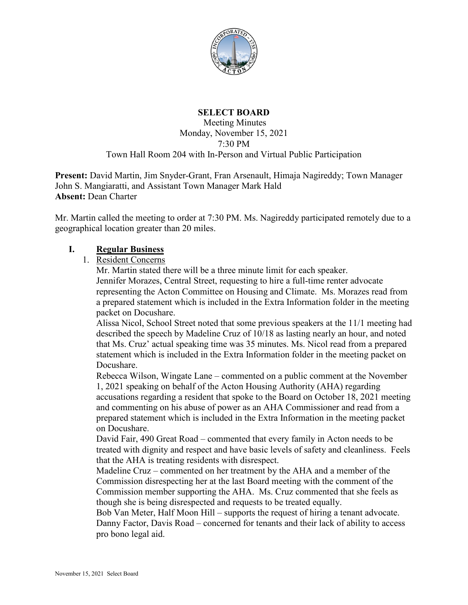

# **SELECT BOARD**

Meeting Minutes Monday, November 15, 2021 7:30 PM Town Hall Room 204 with In-Person and Virtual Public Participation

**Present:** David Martin, Jim Snyder-Grant, Fran Arsenault, Himaja Nagireddy; Town Manager John S. Mangiaratti, and Assistant Town Manager Mark Hald **Absent:** Dean Charter

Mr. Martin called the meeting to order at 7:30 PM. Ms. Nagireddy participated remotely due to a geographical location greater than 20 miles.

### **I. Regular Business**

1. Resident Concerns

Mr. Martin stated there will be a three minute limit for each speaker. Jennifer Morazes, Central Street, requesting to hire a full-time renter advocate representing the Acton Committee on Housing and Climate. Ms. Morazes read from a prepared statement which is included in the Extra Information folder in the meeting packet on Docushare.

Alissa Nicol, School Street noted that some previous speakers at the 11/1 meeting had described the speech by Madeline Cruz of 10/18 as lasting nearly an hour, and noted that Ms. Cruz' actual speaking time was 35 minutes. Ms. Nicol read from a prepared statement which is included in the Extra Information folder in the meeting packet on Docushare.

Rebecca Wilson, Wingate Lane – commented on a public comment at the November 1, 2021 speaking on behalf of the Acton Housing Authority (AHA) regarding accusations regarding a resident that spoke to the Board on October 18, 2021 meeting and commenting on his abuse of power as an AHA Commissioner and read from a prepared statement which is included in the Extra Information in the meeting packet on Docushare.

David Fair, 490 Great Road – commented that every family in Acton needs to be treated with dignity and respect and have basic levels of safety and cleanliness. Feels that the AHA is treating residents with disrespect.

Madeline Cruz – commented on her treatment by the AHA and a member of the Commission disrespecting her at the last Board meeting with the comment of the Commission member supporting the AHA. Ms. Cruz commented that she feels as though she is being disrespected and requests to be treated equally.

Bob Van Meter, Half Moon Hill – supports the request of hiring a tenant advocate. Danny Factor, Davis Road – concerned for tenants and their lack of ability to access pro bono legal aid.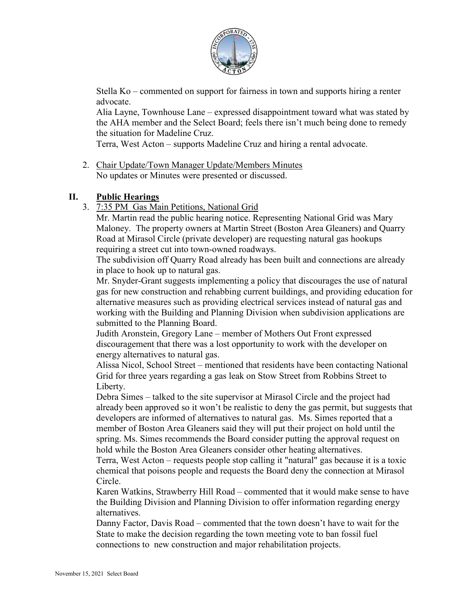

Stella Ko – commented on support for fairness in town and supports hiring a renter advocate.

Alia Layne, Townhouse Lane – expressed disappointment toward what was stated by the AHA member and the Select Board; feels there isn't much being done to remedy the situation for Madeline Cruz.

Terra, West Acton – supports Madeline Cruz and hiring a rental advocate.

2. Chair Update/Town Manager Update/Members Minutes No updates or Minutes were presented or discussed.

### **II. Public Hearings**

3. 7:35 PM Gas Main Petitions, National Grid

Mr. Martin read the public hearing notice. Representing National Grid was Mary Maloney. The property owners at Martin Street (Boston Area Gleaners) and Quarry Road at Mirasol Circle (private developer) are requesting natural gas hookups requiring a street cut into town-owned roadways.

The subdivision off Quarry Road already has been built and connections are already in place to hook up to natural gas.

Mr. Snyder-Grant suggests implementing a policy that discourages the use of natural gas for new construction and rehabbing current buildings, and providing education for alternative measures such as providing electrical services instead of natural gas and working with the Building and Planning Division when subdivision applications are submitted to the Planning Board.

Judith Aronstein, Gregory Lane – member of Mothers Out Front expressed discouragement that there was a lost opportunity to work with the developer on energy alternatives to natural gas.

Alissa Nicol, School Street – mentioned that residents have been contacting National Grid for three years regarding a gas leak on Stow Street from Robbins Street to Liberty.

Debra Simes – talked to the site supervisor at Mirasol Circle and the project had already been approved so it won't be realistic to deny the gas permit, but suggests that developers are informed of alternatives to natural gas. Ms. Simes reported that a member of Boston Area Gleaners said they will put their project on hold until the spring. Ms. Simes recommends the Board consider putting the approval request on hold while the Boston Area Gleaners consider other heating alternatives.

Terra, West Acton – requests people stop calling it "natural" gas because it is a toxic chemical that poisons people and requests the Board deny the connection at Mirasol Circle.

Karen Watkins, Strawberry Hill Road – commented that it would make sense to have the Building Division and Planning Division to offer information regarding energy alternatives.

Danny Factor, Davis Road – commented that the town doesn't have to wait for the State to make the decision regarding the town meeting vote to ban fossil fuel connections to new construction and major rehabilitation projects.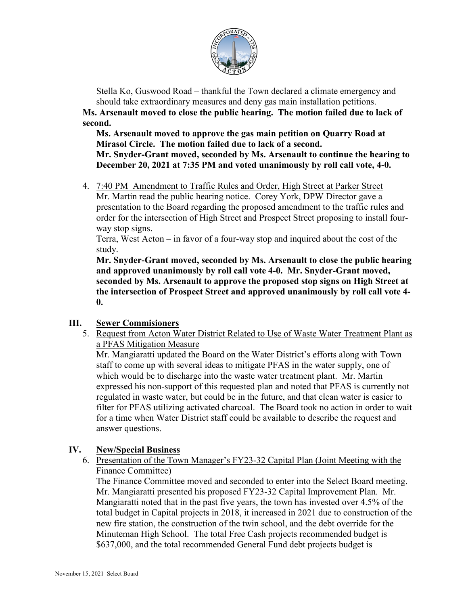

Stella Ko, Guswood Road – thankful the Town declared a climate emergency and should take extraordinary measures and deny gas main installation petitions.

**Ms. Arsenault moved to close the public hearing. The motion failed due to lack of second.**

**Ms. Arsenault moved to approve the gas main petition on Quarry Road at Mirasol Circle. The motion failed due to lack of a second. Mr. Snyder-Grant moved, seconded by Ms. Arsenault to continue the hearing to December 20, 2021 at 7:35 PM and voted unanimously by roll call vote, 4-0.**

4. 7:40 PM Amendment to Traffic Rules and Order, High Street at Parker Street Mr. Martin read the public hearing notice. Corey York, DPW Director gave a presentation to the Board regarding the proposed amendment to the traffic rules and order for the intersection of High Street and Prospect Street proposing to install fourway stop signs.

Terra, West Acton – in favor of a four-way stop and inquired about the cost of the study.

**Mr. Snyder-Grant moved, seconded by Ms. Arsenault to close the public hearing and approved unanimously by roll call vote 4-0. Mr. Snyder-Grant moved, seconded by Ms. Arsenault to approve the proposed stop signs on High Street at the intersection of Prospect Street and approved unanimously by roll call vote 4- 0.**

# **III. Sewer Commisioners**

5. Request from Acton Water District Related to Use of Waste Water Treatment Plant as a PFAS Mitigation Measure

Mr. Mangiaratti updated the Board on the Water District's efforts along with Town staff to come up with several ideas to mitigate PFAS in the water supply, one of which would be to discharge into the waste water treatment plant. Mr. Martin expressed his non-support of this requested plan and noted that PFAS is currently not regulated in waste water, but could be in the future, and that clean water is easier to filter for PFAS utilizing activated charcoal. The Board took no action in order to wait for a time when Water District staff could be available to describe the request and answer questions.

# **IV. New/Special Business**

6. Presentation of the Town Manager's FY23-32 Capital Plan (Joint Meeting with the Finance Committee)

The Finance Committee moved and seconded to enter into the Select Board meeting. Mr. Mangiaratti presented his proposed FY23-32 Capital Improvement Plan. Mr. Mangiaratti noted that in the past five years, the town has invested over 4.5% of the total budget in Capital projects in 2018, it increased in 2021 due to construction of the new fire station, the construction of the twin school, and the debt override for the Minuteman High School. The total Free Cash projects recommended budget is \$637,000, and the total recommended General Fund debt projects budget is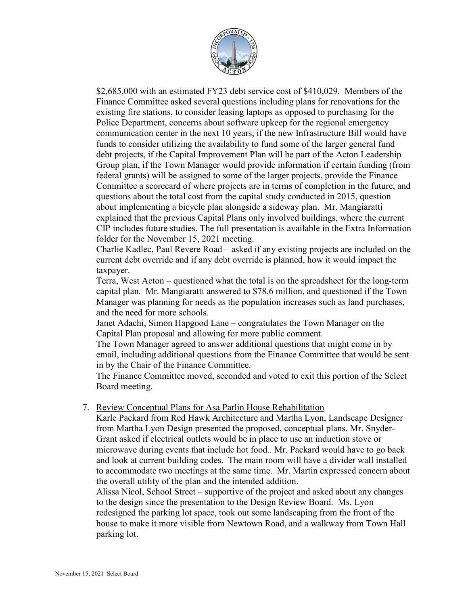

\$2,685,000 with an estimated FY23 debt service cost of \$410,029. Members of the Finance Committee asked several questions including plans for renovations for the existing fire stations, to consider leasing laptops as opposed to purchasing for the Police Department, concerns about software upkeep for the regional emergency communication center in the next 10 years, if the new Infrastructure Bill would have funds to consider utilizing the availability to fund some of the larger general fund debt projects, if the Capital Improvement Plan will be part of the Acton Leadership Group plan, if the Town Manager would provide information if certain funding (from federal grants) will be assigned to some of the larger projects, provide the Finance Committee a scorecard of where projects are in terms of completion in the future, and questions about the total cost from the capital study conducted in 2015, question about implementing a bicycle plan alongside a sideway plan. Mr. Mangiaratti explained that the previous Capital Plans only involved buildings, where the current CIP includes future studies. The full presentation is available in the Extra Information folder for the November 15, 2021 meeting.

Charlie Kadlec, Paul Revere Road – asked if any existing projects are included on the current debt override and if any debt override is planned, how it would impact the taxpayer.

Terra, West Acton – questioned what the total is on the spreadsheet for the long-term capital plan. Mr. Mangiaratti answered to \$78.6 million, and questioned if the Town Manager was planning for needs as the population increases such as land purchases, and the need for more schools.

Janet Adachi, Simon Hapgood Lane – congratulates the Town Manager on the Capital Plan proposal and allowing for more public comment.

The Town Manager agreed to answer additional questions that might come in by email, including additional questions from the Finance Committee that would be sent in by the Chair of the Finance Committee.

The Finance Committee moved, seconded and voted to exit this portion of the Select Board meeting.

#### 7. Review Conceptual Plans for Asa Parlin House Rehabilitation

Karle Packard from Red Hawk Architecture and Martha Lyon, Landscape Designer from Martha Lyon Design presented the proposed, conceptual plans. Mr. Snyder-Grant asked if electrical outlets would be in place to use an induction stove or microwave during events that include hot food.. Mr. Packard would have to go back and look at current building codes. The main room will have a divider wall installed to accommodate two meetings at the same time. Mr. Martin expressed concern about the overall utility of the plan and the intended addition.

Alissa Nicol, School Street – supportive of the project and asked about any changes to the design since the presentation to the Design Review Board. Ms. Lyon redesigned the parking lot space, took out some landscaping from the front of the house to make it more visible from Newtown Road, and a walkway from Town Hall parking lot.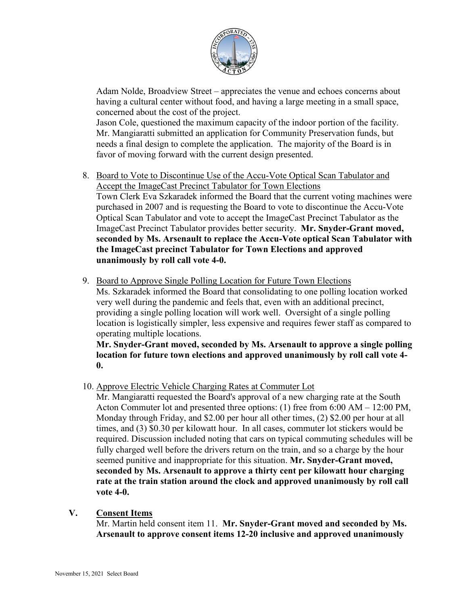

Adam Nolde, Broadview Street – appreciates the venue and echoes concerns about having a cultural center without food, and having a large meeting in a small space, concerned about the cost of the project.

Jason Cole, questioned the maximum capacity of the indoor portion of the facility. Mr. Mangiaratti submitted an application for Community Preservation funds, but needs a final design to complete the application. The majority of the Board is in favor of moving forward with the current design presented.

- 8. Board to Vote to Discontinue Use of the Accu-Vote Optical Scan Tabulator and Accept the ImageCast Precinct Tabulator for Town Elections Town Clerk Eva Szkaradek informed the Board that the current voting machines were purchased in 2007 and is requesting the Board to vote to discontinue the Accu-Vote Optical Scan Tabulator and vote to accept the ImageCast Precinct Tabulator as the ImageCast Precinct Tabulator provides better security. **Mr. Snyder-Grant moved, seconded by Ms. Arsenault to replace the Accu-Vote optical Scan Tabulator with the ImageCast precinct Tabulator for Town Elections and approved unanimously by roll call vote 4-0.**
- 9. Board to Approve Single Polling Location for Future Town Elections Ms. Szkaradek informed the Board that consolidating to one polling location worked very well during the pandemic and feels that, even with an additional precinct, providing a single polling location will work well. Oversight of a single polling location is logistically simpler, less expensive and requires fewer staff as compared to operating multiple locations.

**Mr. Snyder-Grant moved, seconded by Ms. Arsenault to approve a single polling location for future town elections and approved unanimously by roll call vote 4- 0.**

10. Approve Electric Vehicle Charging Rates at Commuter Lot

Mr. Mangiaratti requested the Board's approval of a new charging rate at the South Acton Commuter lot and presented three options: (1) free from 6:00 AM – 12:00 PM, Monday through Friday, and \$2.00 per hour all other times, (2) \$2.00 per hour at all times, and (3) \$0.30 per kilowatt hour. In all cases, commuter lot stickers would be required. Discussion included noting that cars on typical commuting schedules will be fully charged well before the drivers return on the train, and so a charge by the hour seemed punitive and inappropriate for this situation. **Mr. Snyder-Grant moved, seconded by Ms. Arsenault to approve a thirty cent per kilowatt hour charging rate at the train station around the clock and approved unanimously by roll call vote 4-0.**

#### **V. Consent Items**

Mr. Martin held consent item 11. **Mr. Snyder-Grant moved and seconded by Ms. Arsenault to approve consent items 12-20 inclusive and approved unanimously**